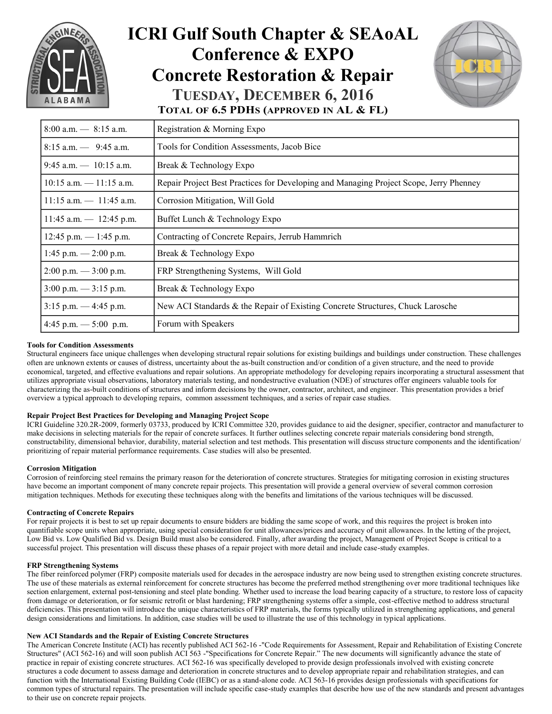

## **ICRI Gulf South Chapter & SEAoAL Conference & EXPO Concrete Restoration & Repair TUESDAY, DECEMBER 6, 2016 TOTAL OF 6.5 PDHS (APPROVED IN AL & FL)**



 $8:00$  a.m.  $-8:15$  a.m. Registration & Morning Expo 8:15 a.m. — 9:45 a.m. Tools for Condition Assessments, Jacob Bice 9:45 a.m.  $- 10:15$  a.m. Break & Technology Expo 10:15 a.m. — 11:15 a.m. Repair Project Best Practices for Developing and Managing Project Scope, Jerry Phenney  $11:15$  a.m.  $-11:45$  a.m. Corrosion Mitigation, Will Gold 11:45 a.m.  $-$  12:45 p.m. Buffet Lunch & Technology Expo 12:45 p.m. — 1:45 p.m. Contracting of Concrete Repairs, Jerrub Hammrich 1:45 p.m.  $-2:00$  p.m. Break & Technology Expo 2:00 p.m. — 3:00 p.m. FRP Strengthening Systems, Will Gold  $3:00 \text{ p.m.} \longrightarrow 3:15 \text{ p.m.}$  Break & Technology Expo 3:15 p.m. — 4:45 p.m. New ACI Standards & the Repair of Existing Concrete Structures, Chuck Larosche  $4:45$  p.m.  $-5:00$  p.m. Forum with Speakers

#### **Tools for Condition Assessments**

Structural engineers face unique challenges when developing structural repair solutions for existing buildings and buildings under construction. These challenges often are unknown extents or causes of distress, uncertainty about the as-built construction and/or condition of a given structure, and the need to provide economical, targeted, and effective evaluations and repair solutions. An appropriate methodology for developing repairs incorporating a structural assessment that utilizes appropriate visual observations, laboratory materials testing, and nondestructive evaluation (NDE) of structures offer engineers valuable tools for characterizing the as-built conditions of structures and inform decisions by the owner, contractor, architect, and engineer. This presentation provides a brief overview a typical approach to developing repairs, common assessment techniques, and a series of repair case studies.

#### **Repair Project Best Practices for Developing and Managing Project Scope**

ICRI Guideline 320.2R-2009, formerly 03733, produced by ICRI Committee 320, provides guidance to aid the designer, specifier, contractor and manufacturer to make decisions in selecting materials for the repair of concrete surfaces. It further outlines selecting concrete repair materials considering bond strength, constructability, dimensional behavior, durability, material selection and test methods. This presentation will discuss structure components and the identification/ prioritizing of repair material performance requirements. Case studies will also be presented.

#### **Corrosion Mitigation**

Corrosion of reinforcing steel remains the primary reason for the deterioration of concrete structures. Strategies for mitigating corrosion in existing structures have become an important component of many concrete repair projects. This presentation will provide a general overview of several common corrosion mitigation techniques. Methods for executing these techniques along with the benefits and limitations of the various techniques will be discussed.

#### **Contracting of Concrete Repairs**

For repair projects it is best to set up repair documents to ensure bidders are bidding the same scope of work, and this requires the project is broken into quantifiable scope units when appropriate, using special consideration for unit allowances/prices and accuracy of unit allowances. In the letting of the project, Low Bid vs. Low Qualified Bid vs. Design Build must also be considered. Finally, after awarding the project, Management of Project Scope is critical to a successful project. This presentation will discuss these phases of a repair project with more detail and include case-study examples.

#### **FRP Strengthening Systems**

The fiber reinforced polymer (FRP) composite materials used for decades in the aerospace industry are now being used to strengthen existing concrete structures. The use of these materials as external reinforcement for concrete structures has become the preferred method strengthening over more traditional techniques like section enlargement, external post-tensioning and steel plate bonding. Whether used to increase the load bearing capacity of a structure, to restore loss of capacity from damage or deterioration, or for seismic retrofit or blast hardening; FRP strengthening systems offer a simple, cost-effective method to address structural deficiencies. This presentation will introduce the unique characteristics of FRP materials, the forms typically utilized in strengthening applications, and general design considerations and limitations. In addition, case studies will be used to illustrate the use of this technology in typical applications.

#### **New ACI Standards and the Repair of Existing Concrete Structures**

The American Concrete Institute (ACI) has recently published ACI 562-16 -"Code Requirements for Assessment, Repair and Rehabilitation of Existing Concrete Structures" (ACI 562-16) and will soon publish ACI 563 -"Specifications for Concrete Repair." The new documents will significantly advance the state of practice in repair of existing concrete structures. ACI 562-16 was specifically developed to provide design professionals involved with existing concrete structures a code document to assess damage and deterioration in concrete structures and to develop appropriate repair and rehabilitation strategies, and can function with the International Existing Building Code (IEBC) or as a stand-alone code. ACI 563-16 provides design professionals with specifications for common types of structural repairs. The presentation will include specific case-study examples that describe how use of the new standards and present advantages to their use on concrete repair projects.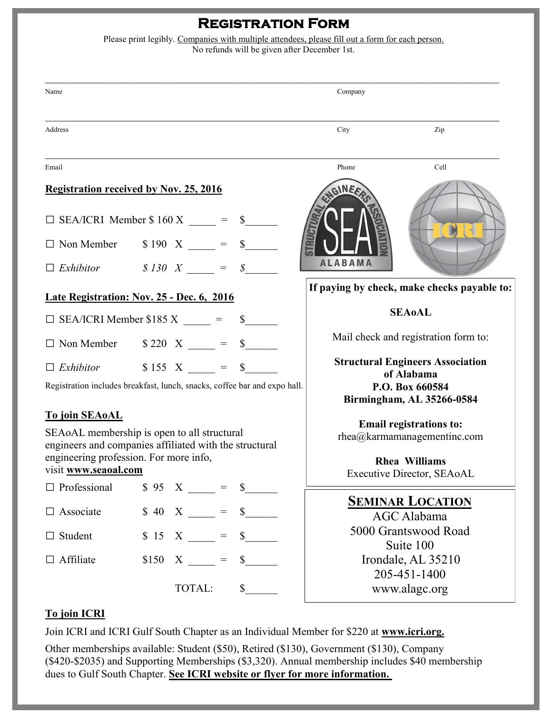# **Registration Form**

| Please print legibly. Companies with multiple attendees, please fill out a form for each person. |  |  |  |  |  |  |  |
|--------------------------------------------------------------------------------------------------|--|--|--|--|--|--|--|
| No refunds will be given after December 1st.                                                     |  |  |  |  |  |  |  |
|                                                                                                  |  |  |  |  |  |  |  |
|                                                                                                  |  |  |  |  |  |  |  |

| Name                                                                                                                                                                                                                                                                                                                                  |  |               |  |                      | Company                                                                                                           |                                             |  |
|---------------------------------------------------------------------------------------------------------------------------------------------------------------------------------------------------------------------------------------------------------------------------------------------------------------------------------------|--|---------------|--|----------------------|-------------------------------------------------------------------------------------------------------------------|---------------------------------------------|--|
| Address                                                                                                                                                                                                                                                                                                                               |  |               |  |                      | City                                                                                                              | Zip                                         |  |
| Email                                                                                                                                                                                                                                                                                                                                 |  |               |  |                      | Phone                                                                                                             | Cell                                        |  |
| <b>Registration received by Nov. 25, 2016</b>                                                                                                                                                                                                                                                                                         |  |               |  |                      | NEE                                                                                                               |                                             |  |
| $\Box$ SEA/ICRI Member \$ 160 X =<br>$s$ <sub>---</sub>                                                                                                                                                                                                                                                                               |  |               |  |                      |                                                                                                                   |                                             |  |
| $\Box$ Non Member $\qquad$ \$ 190 X ____ = \$_____                                                                                                                                                                                                                                                                                    |  |               |  |                      |                                                                                                                   |                                             |  |
| $\Box$ Exhibitor $\qquad$ $\Box$ $\qquad$ $\Box$ $\qquad$ $\Box$ $\qquad$ $\qquad$ $\qquad$ $\qquad$ $\qquad$ $\qquad$ $\qquad$ $\qquad$ $\qquad$ $\qquad$ $\qquad$ $\qquad$ $\qquad$ $\qquad$ $\qquad$ $\qquad$ $\qquad$ $\qquad$ $\qquad$ $\qquad$ $\qquad$ $\qquad$ $\qquad$ $\qquad$ $\qquad$ $\qquad$ $\qquad$ $\qquad$ $\qquad$ |  |               |  |                      | <b>ALABAMA</b>                                                                                                    |                                             |  |
| Late Registration: Nov. 25 - Dec. 6, 2016                                                                                                                                                                                                                                                                                             |  |               |  |                      |                                                                                                                   | If paying by check, make checks payable to: |  |
| $\Box$ SEA/ICRI Member \$185 X $\_\_\_\_\_\_\_\_\_\_\$ =                                                                                                                                                                                                                                                                              |  |               |  | <b>SEAoAL</b>        |                                                                                                                   |                                             |  |
| $\Box$ Non Member $\qquad$ \$ 220 X $\qquad$ = \$                                                                                                                                                                                                                                                                                     |  |               |  |                      | Mail check and registration form to:                                                                              |                                             |  |
| $\Box$ Exhibitor $\qquad$ \$ 155 X $\qquad$ = \$                                                                                                                                                                                                                                                                                      |  |               |  |                      | <b>Structural Engineers Association</b><br>of Alabama                                                             |                                             |  |
| Registration includes breakfast, lunch, snacks, coffee bar and expo hall.                                                                                                                                                                                                                                                             |  |               |  |                      | P.O. Box 660584<br>Birmingham, AL 35266-0584                                                                      |                                             |  |
| <b>To join SEAoAL</b>                                                                                                                                                                                                                                                                                                                 |  |               |  |                      |                                                                                                                   | <b>Email registrations to:</b>              |  |
| SEAoAL membership is open to all structural<br>engineers and companies affiliated with the structural                                                                                                                                                                                                                                 |  |               |  |                      | $rhea@karmamanaq$ gementinc.com                                                                                   |                                             |  |
| engineering profession. For more info,<br>visit www.seaoal.com                                                                                                                                                                                                                                                                        |  |               |  |                      | <b>Rhea Williams</b><br>Executive Director, SEAoAL                                                                |                                             |  |
| $\Box$ Professional                                                                                                                                                                                                                                                                                                                   |  | $$ 95 X =$    |  | $\frac{\sqrt{2}}{2}$ |                                                                                                                   |                                             |  |
| $\Box$ Associate                                                                                                                                                                                                                                                                                                                      |  | $$40 X \_ =$  |  | $\mathbb{S}$         | <b>SEMINAR LOCATION</b><br>AGC Alabama<br>5000 Grantswood Road<br>Suite 100<br>Irondale, AL 35210<br>205-451-1400 |                                             |  |
| $\Box$ Student                                                                                                                                                                                                                                                                                                                        |  | $$15 \tX =$   |  | $\mathbb{S}$         |                                                                                                                   |                                             |  |
| $\Box$ Affiliate                                                                                                                                                                                                                                                                                                                      |  | $$150 \t X =$ |  | $\mathbb{S}$         |                                                                                                                   |                                             |  |
|                                                                                                                                                                                                                                                                                                                                       |  | TOTAL:        |  | s                    |                                                                                                                   | www.alagc.org                               |  |

### **To join ICRI**

Join ICRI and ICRI Gulf South Chapter as an Individual Member for \$220 at **www.icri.org.** 

Other memberships available: Student (\$50), Retired (\$130), Government (\$130), Company (\$420-\$2035) and Supporting Memberships (\$3,320). Annual membership includes \$40 membership dues to Gulf South Chapter. **See ICRI website or flyer for more information.**